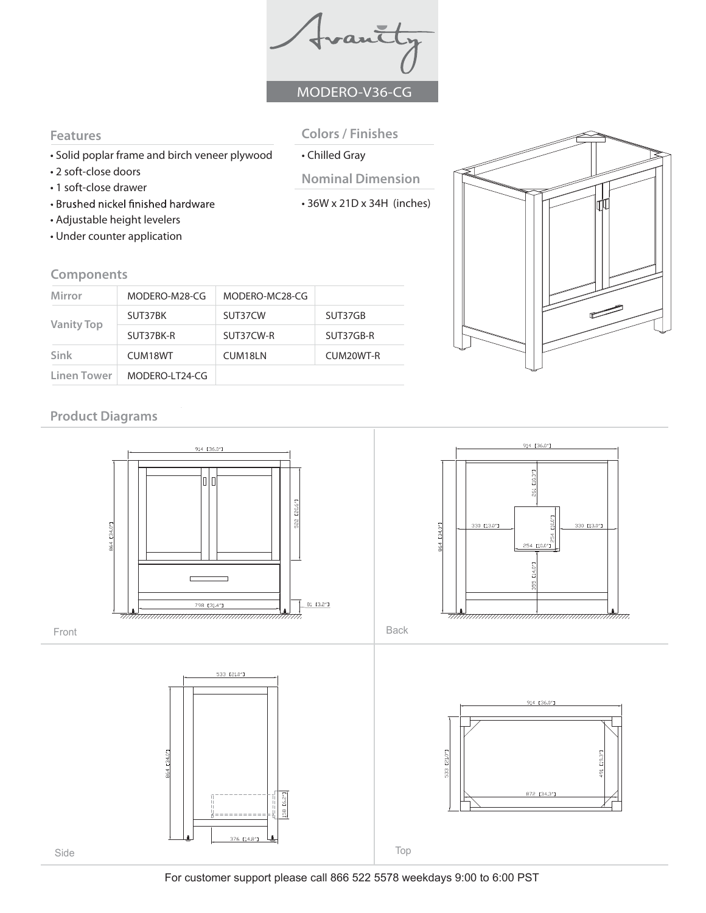vantt MODERO-V36-CG

## **Features**

- Solid poplar frame and birch veneer plywood
- 2 soft-close doors
- 1 soft-close drawer
- Brushed nickel finished hardware
- Adjustable height levelers
- Under counter application

## **Components**

| Mirror            | MODERO-M28-CG  | MODERO-MC28-CG |           |  |  |
|-------------------|----------------|----------------|-----------|--|--|
| <b>Vanity Top</b> | SUT37BK        | SUT37CW        | SUT37GB   |  |  |
|                   | SUT37BK-R      | SUT37CW-R      | SUT37GB-R |  |  |
| Sink              | CUM18WT        | CUM18LN        | CUM20WT-R |  |  |
| Linen Tower       | MODERO-LT24-CG |                |           |  |  |

# **Product Diagrams**

Front

Side





Back



- **Colors / Finishes**  • Chilled Gray
- **Nominal Dimension**
- 36W x 21D x 34H (inches)

For customer support please call 866 522 5578 weekdays 9:00 to 6:00 PST



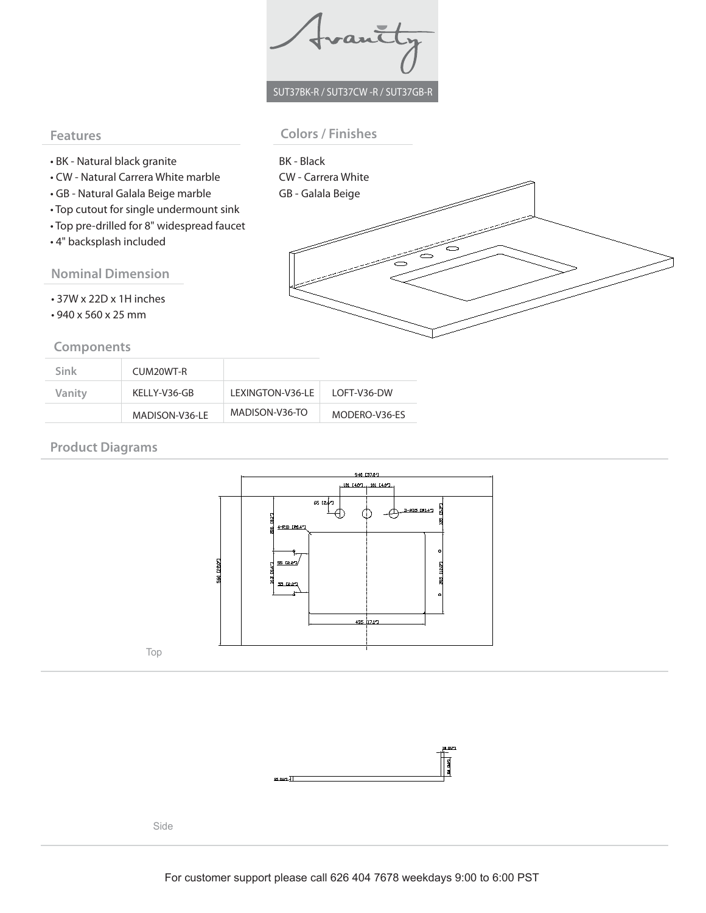Trantty

## SUT37BK-R / SUT37CW -R / SUT37GB-R

#### **Features**

## **Colors / Finishes**

BK - Black

- BK Natural black granite
- CW Natural Carrera White marble
- GB Natural Galala Beige marble
- Top cutout for single undermount sink
- Top pre-drilled for 8" widespread faucet
- 4" backsplash included

## **Nominal Dimension**

- 37W x 22D x 1H inches
- 940 x 560 x 25 mm

#### **Components**

| CW - Carrera White<br>GB - Galala Beige |  |  |
|-----------------------------------------|--|--|
|                                         |  |  |
|                                         |  |  |
|                                         |  |  |
|                                         |  |  |
|                                         |  |  |
|                                         |  |  |
|                                         |  |  |

| Sink   | CUM20WT-R      |                   |               |
|--------|----------------|-------------------|---------------|
| Vanity | KFLLY-V36-GB   | I FXINGTON-V36-LF | LOFT-V36-DW   |
|        | MADISON-V36-LE | MADISON-V36-TO    | MODERO-V36-ES |

## **Product Diagrams**





Side

Top